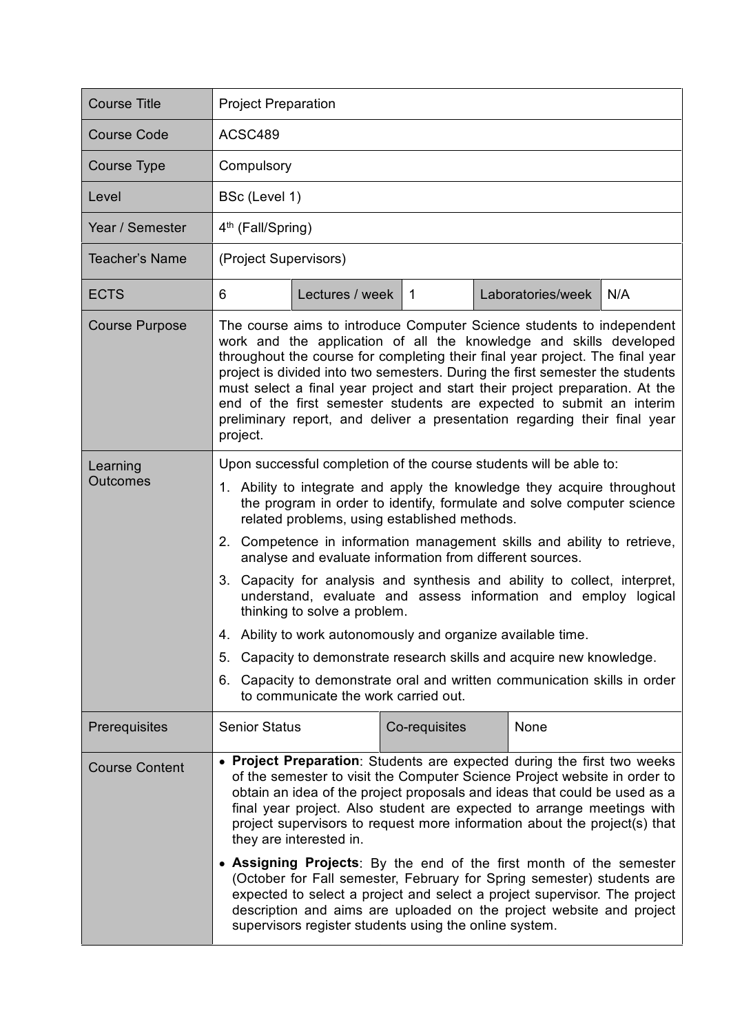| <b>Course Title</b>         | <b>Project Preparation</b>                                                                                                                                                                                                                                                                                                                                                                                                                                                                                                                                                                                                                                                                                                                                                                                                                                        |
|-----------------------------|-------------------------------------------------------------------------------------------------------------------------------------------------------------------------------------------------------------------------------------------------------------------------------------------------------------------------------------------------------------------------------------------------------------------------------------------------------------------------------------------------------------------------------------------------------------------------------------------------------------------------------------------------------------------------------------------------------------------------------------------------------------------------------------------------------------------------------------------------------------------|
| <b>Course Code</b>          | ACSC489                                                                                                                                                                                                                                                                                                                                                                                                                                                                                                                                                                                                                                                                                                                                                                                                                                                           |
| <b>Course Type</b>          | Compulsory                                                                                                                                                                                                                                                                                                                                                                                                                                                                                                                                                                                                                                                                                                                                                                                                                                                        |
| Level                       | BSc (Level 1)                                                                                                                                                                                                                                                                                                                                                                                                                                                                                                                                                                                                                                                                                                                                                                                                                                                     |
| Year / Semester             | 4 <sup>th</sup> (Fall/Spring)                                                                                                                                                                                                                                                                                                                                                                                                                                                                                                                                                                                                                                                                                                                                                                                                                                     |
| Teacher's Name              | (Project Supervisors)                                                                                                                                                                                                                                                                                                                                                                                                                                                                                                                                                                                                                                                                                                                                                                                                                                             |
| <b>ECTS</b>                 | Laboratories/week<br>N/A<br>Lectures / week<br>6<br>$\overline{1}$                                                                                                                                                                                                                                                                                                                                                                                                                                                                                                                                                                                                                                                                                                                                                                                                |
| <b>Course Purpose</b>       | The course aims to introduce Computer Science students to independent<br>work and the application of all the knowledge and skills developed<br>throughout the course for completing their final year project. The final year<br>project is divided into two semesters. During the first semester the students<br>must select a final year project and start their project preparation. At the<br>end of the first semester students are expected to submit an interim<br>preliminary report, and deliver a presentation regarding their final year<br>project.                                                                                                                                                                                                                                                                                                    |
| Learning<br><b>Outcomes</b> | Upon successful completion of the course students will be able to:<br>1. Ability to integrate and apply the knowledge they acquire throughout<br>the program in order to identify, formulate and solve computer science<br>related problems, using established methods.<br>2. Competence in information management skills and ability to retrieve,<br>analyse and evaluate information from different sources.<br>3.<br>Capacity for analysis and synthesis and ability to collect, interpret,<br>understand, evaluate and assess information and employ logical<br>thinking to solve a problem.<br>4. Ability to work autonomously and organize available time.<br>5. Capacity to demonstrate research skills and acquire new knowledge.<br>Capacity to demonstrate oral and written communication skills in order<br>6.<br>to communicate the work carried out. |
| Prerequisites               | <b>Senior Status</b><br>None<br>Co-requisites                                                                                                                                                                                                                                                                                                                                                                                                                                                                                                                                                                                                                                                                                                                                                                                                                     |
| <b>Course Content</b>       | • Project Preparation: Students are expected during the first two weeks<br>of the semester to visit the Computer Science Project website in order to<br>obtain an idea of the project proposals and ideas that could be used as a<br>final year project. Also student are expected to arrange meetings with<br>project supervisors to request more information about the project(s) that<br>they are interested in.<br>• Assigning Projects: By the end of the first month of the semester<br>(October for Fall semester, February for Spring semester) students are<br>expected to select a project and select a project supervisor. The project<br>description and aims are uploaded on the project website and project<br>supervisors register students using the online system.                                                                               |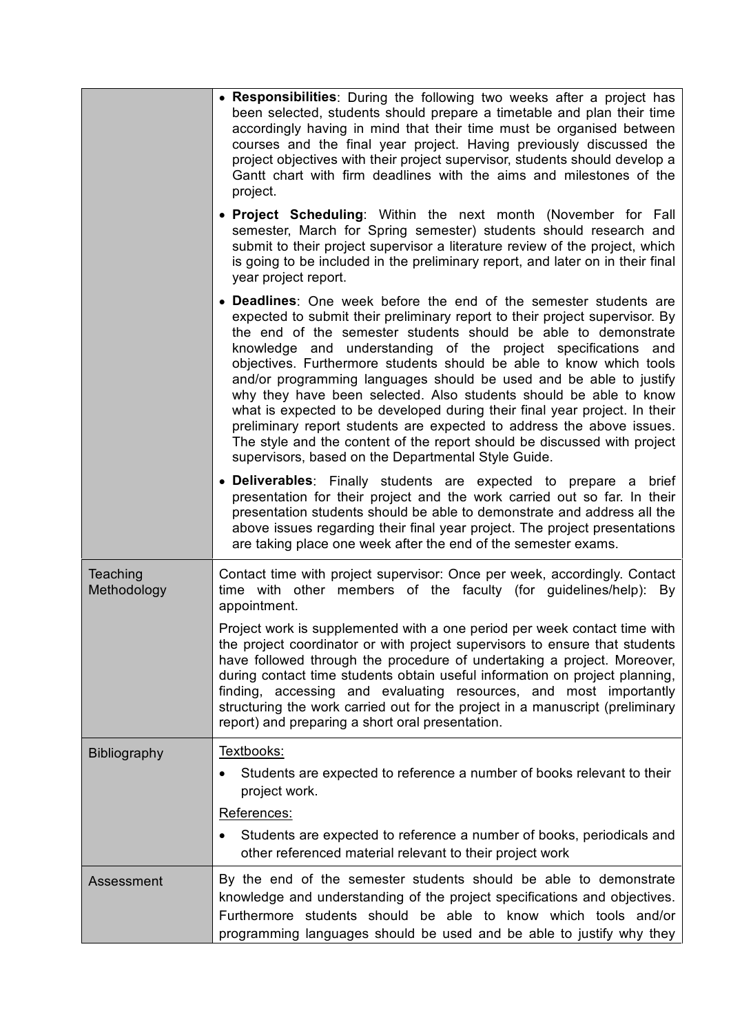|                         | • Responsibilities: During the following two weeks after a project has<br>been selected, students should prepare a timetable and plan their time<br>accordingly having in mind that their time must be organised between<br>courses and the final year project. Having previously discussed the<br>project objectives with their project supervisor, students should develop a<br>Gantt chart with firm deadlines with the aims and milestones of the<br>project.                                                                                                                                                                                                                                                                                                                               |
|-------------------------|-------------------------------------------------------------------------------------------------------------------------------------------------------------------------------------------------------------------------------------------------------------------------------------------------------------------------------------------------------------------------------------------------------------------------------------------------------------------------------------------------------------------------------------------------------------------------------------------------------------------------------------------------------------------------------------------------------------------------------------------------------------------------------------------------|
|                         | . Project Scheduling: Within the next month (November for Fall<br>semester, March for Spring semester) students should research and<br>submit to their project supervisor a literature review of the project, which<br>is going to be included in the preliminary report, and later on in their final<br>year project report.                                                                                                                                                                                                                                                                                                                                                                                                                                                                   |
|                         | • Deadlines: One week before the end of the semester students are<br>expected to submit their preliminary report to their project supervisor. By<br>the end of the semester students should be able to demonstrate<br>knowledge and understanding of the project specifications and<br>objectives. Furthermore students should be able to know which tools<br>and/or programming languages should be used and be able to justify<br>why they have been selected. Also students should be able to know<br>what is expected to be developed during their final year project. In their<br>preliminary report students are expected to address the above issues.<br>The style and the content of the report should be discussed with project<br>supervisors, based on the Departmental Style Guide. |
|                         | • Deliverables: Finally students are expected to prepare a brief<br>presentation for their project and the work carried out so far. In their<br>presentation students should be able to demonstrate and address all the<br>above issues regarding their final year project. The project presentations<br>are taking place one week after the end of the semester exams.                                                                                                                                                                                                                                                                                                                                                                                                                         |
| Teaching<br>Methodology | Contact time with project supervisor: Once per week, accordingly. Contact<br>time with other members of the faculty (for guidelines/help): By<br>appointment.                                                                                                                                                                                                                                                                                                                                                                                                                                                                                                                                                                                                                                   |
|                         | Project work is supplemented with a one period per week contact time with<br>the project coordinator or with project supervisors to ensure that students<br>have followed through the procedure of undertaking a project. Moreover,<br>during contact time students obtain useful information on project planning,<br>finding, accessing and evaluating resources, and most importantly<br>structuring the work carried out for the project in a manuscript (preliminary<br>report) and preparing a short oral presentation.                                                                                                                                                                                                                                                                    |
| <b>Bibliography</b>     | Textbooks:<br>Students are expected to reference a number of books relevant to their<br>project work.<br>References:                                                                                                                                                                                                                                                                                                                                                                                                                                                                                                                                                                                                                                                                            |
|                         | Students are expected to reference a number of books, periodicals and<br>other referenced material relevant to their project work                                                                                                                                                                                                                                                                                                                                                                                                                                                                                                                                                                                                                                                               |
| Assessment              | By the end of the semester students should be able to demonstrate<br>knowledge and understanding of the project specifications and objectives.<br>Furthermore students should be able to know which tools and/or<br>programming languages should be used and be able to justify why they                                                                                                                                                                                                                                                                                                                                                                                                                                                                                                        |